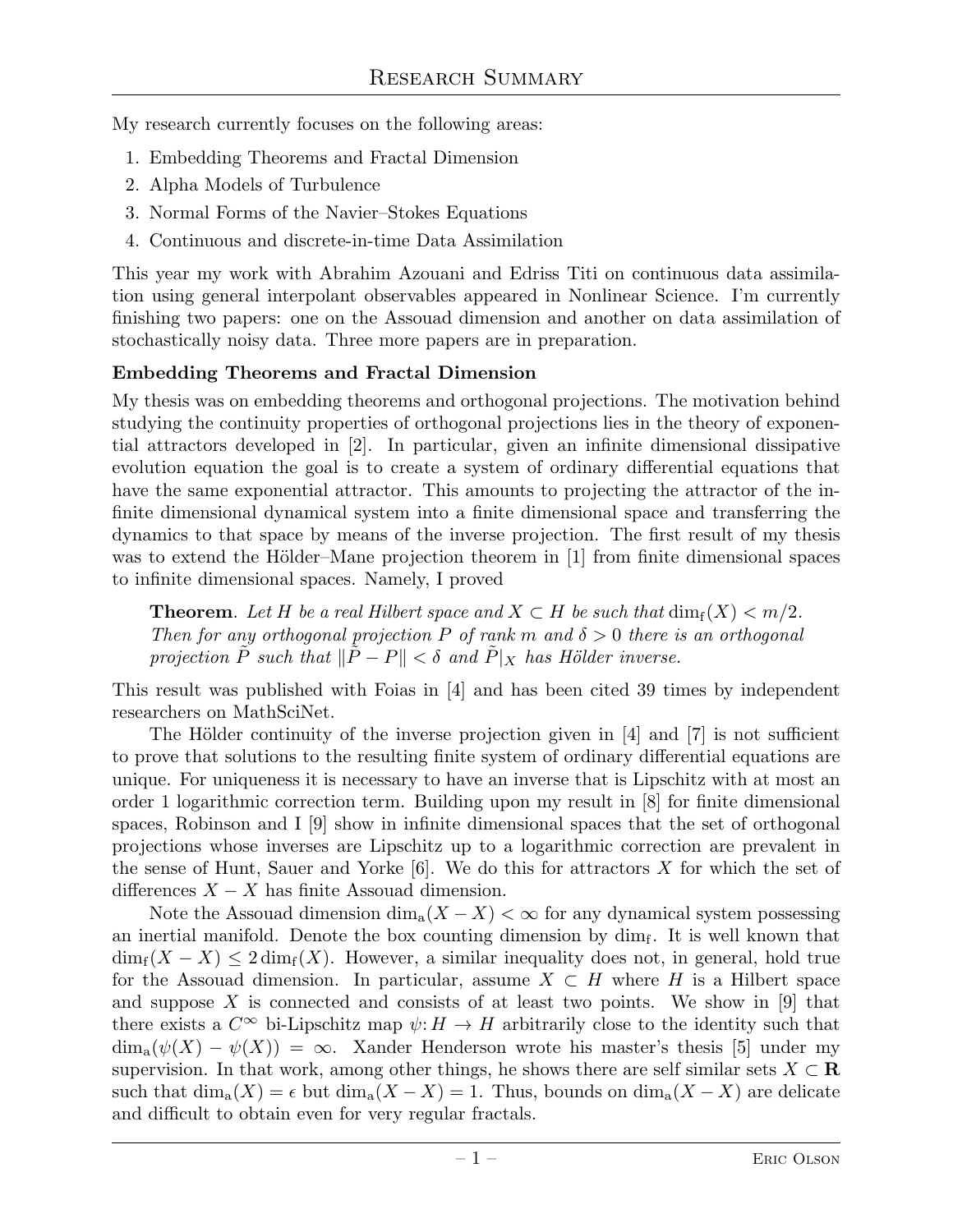My research currently focuses on the following areas:

- 1. Embedding Theorems and Fractal Dimension
- 2. Alpha Models of Turbulence
- 3. Normal Forms of the Navier–Stokes Equations
- 4. Continuous and discrete-in-time Data Assimilation

This year my work with Abrahim Azouani and Edriss Titi on continuous data assimilation using general interpolant observables appeared in Nonlinear Science. I'm currently finishing two papers: one on the Assouad dimension and another on data assimilation of stochastically noisy data. Three more papers are in preparation.

# Embedding Theorems and Fractal Dimension

My thesis was on embedding theorems and orthogonal projections. The motivation behind studying the continuity properties of orthogonal projections lies in the theory of exponential attractors developed in [2]. In particular, given an infinite dimensional dissipative evolution equation the goal is to create a system of ordinary differential equations that have the same exponential attractor. This amounts to projecting the attractor of the infinite dimensional dynamical system into a finite dimensional space and transferring the dynamics to that space by means of the inverse projection. The first result of my thesis was to extend the Hölder–Mane projection theorem in  $[1]$  from finite dimensional spaces to infinite dimensional spaces. Namely, I proved

**Theorem.** Let H be a real Hilbert space and  $X \subset H$  be such that  $\dim_f(X) \leq m/2$ . *Then for any orthogonal projection*  $P$  *of rank*  $m$  *and*  $\delta > 0$  *there is an orthogonal projection*  $\tilde{P}$  *such that*  $\|\tilde{P} - P\| < \delta$  *and*  $\tilde{P}|_X$  *has Hölder inverse.* 

This result was published with Foias in [4] and has been cited 39 times by independent researchers on MathSciNet.

The Hölder continuity of the inverse projection given in  $[4]$  and  $[7]$  is not sufficient to prove that solutions to the resulting finite system of ordinary differential equations are unique. For uniqueness it is necessary to have an inverse that is Lipschitz with at most an order 1 logarithmic correction term. Building upon my result in [8] for finite dimensional spaces, Robinson and I [9] show in infinite dimensional spaces that the set of orthogonal projections whose inverses are Lipschitz up to a logarithmic correction are prevalent in the sense of Hunt, Sauer and Yorke  $[6]$ . We do this for attractors X for which the set of differences  $X - X$  has finite Assouad dimension.

Note the Assouad dimension  $\dim_a(X-X)<\infty$  for any dynamical system possessing an inertial manifold. Denote the box counting dimension by  $\dim_f$ . It is well known that  $\dim_f(X-X) \leq 2 \dim_f(X)$ . However, a similar inequality does not, in general, hold true for the Assouad dimension. In particular, assume  $X \subset H$  where H is a Hilbert space and suppose X is connected and consists of at least two points. We show in  $[9]$  that there exists a  $C^{\infty}$  bi-Lipschitz map  $\psi: H \to H$  arbitrarily close to the identity such that  $\dim_{\mathfrak{a}}(\psi(X) - \psi(X)) = \infty$ . Xander Henderson wrote his master's thesis [5] under my supervision. In that work, among other things, he shows there are self similar sets  $X \subset \mathbf{R}$ such that  $\dim_a(X) = \epsilon$  but  $\dim_a(X - X) = 1$ . Thus, bounds on  $\dim_a(X - X)$  are delicate and difficult to obtain even for very regular fractals.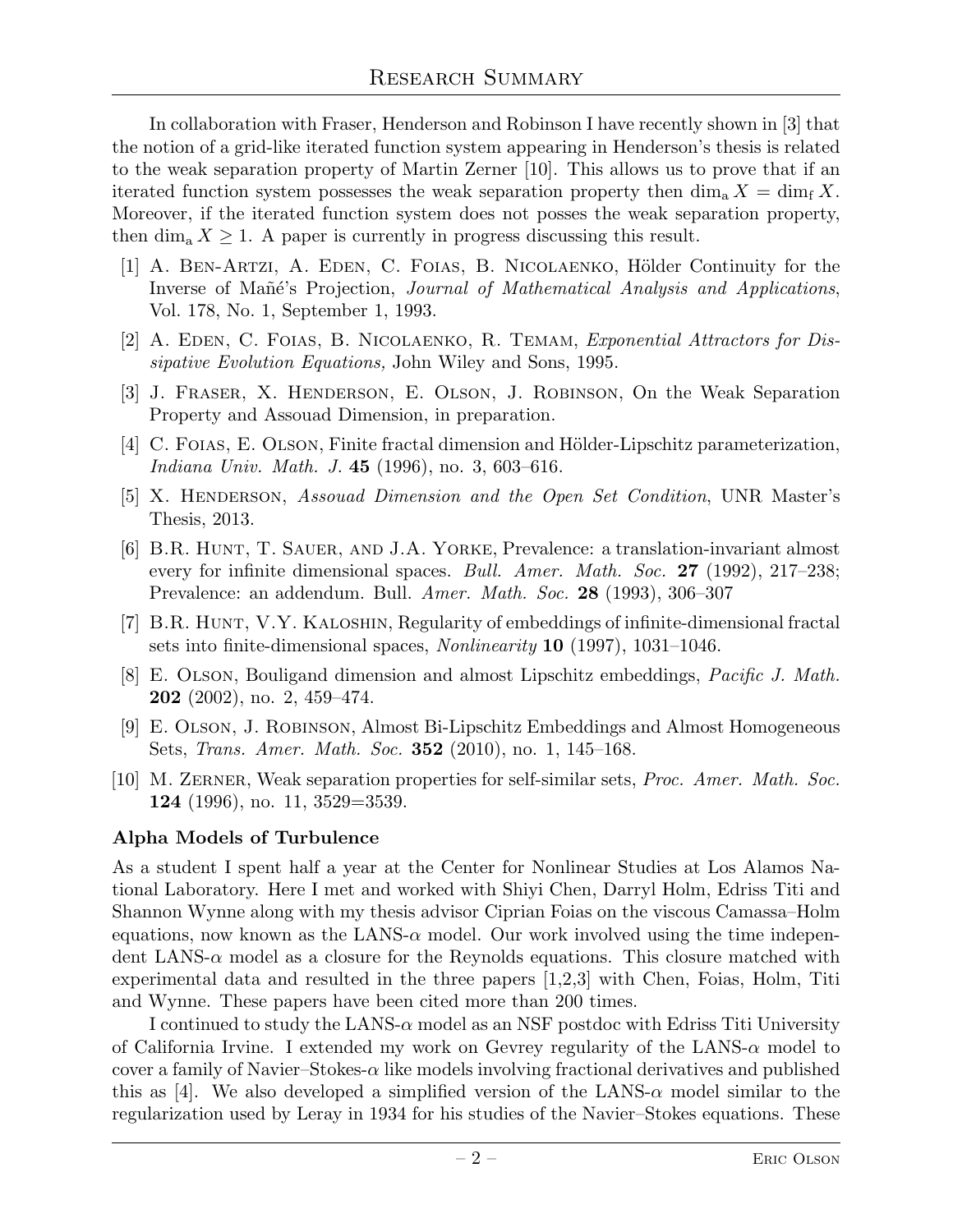In collaboration with Fraser, Henderson and Robinson I have recently shown in [3] that the notion of a grid-like iterated function system appearing in Henderson's thesis is related to the weak separation property of Martin Zerner [10]. This allows us to prove that if an iterated function system possesses the weak separation property then  $\dim_a X = \dim_f X$ . Moreover, if the iterated function system does not posses the weak separation property, then  $\dim_a X \geq 1$ . A paper is currently in progress discussing this result.

- [1] A. BEN-ARTZI, A. EDEN, C. FOIAS, B. NICOLAENKO, Hölder Continuity for the Inverse of Mañé's Projection, *Journal of Mathematical Analysis and Applications*, Vol. 178, No. 1, September 1, 1993.
- [2] A. Eden, C. Foias, B. Nicolaenko, R. Temam, *Exponential Attractors for Dissipative Evolution Equations,* John Wiley and Sons, 1995.
- [3] J. Fraser, X. Henderson, E. Olson, J. Robinson, On the Weak Separation Property and Assouad Dimension, in preparation.
- [4] C. FOIAS, E. OLSON, Finite fractal dimension and Hölder-Lipschitz parameterization, *Indiana Univ. Math. J.* 45 (1996), no. 3, 603–616.
- [5] X. Henderson, *Assouad Dimension and the Open Set Condition*, UNR Master's Thesis, 2013.
- [6] B.R. Hunt, T. Sauer, and J.A. Yorke, Prevalence: a translation-invariant almost every for infinite dimensional spaces. *Bull. Amer. Math. Soc.* 27 (1992), 217–238; Prevalence: an addendum. Bull. *Amer. Math. Soc.* 28 (1993), 306–307
- [7] B.R. HUNT, V.Y. KALOSHIN, Regularity of embeddings of infinite-dimensional fractal sets into finite-dimensional spaces, *Nonlinearity* 10 (1997), 1031–1046.
- [8] E. Olson, Bouligand dimension and almost Lipschitz embeddings, *Pacific J. Math.* **202** (2002), no. 2, 459–474.
- [9] E. Olson, J. Robinson, Almost Bi-Lipschitz Embeddings and Almost Homogeneous Sets, *Trans. Amer. Math. Soc.* 352 (2010), no. 1, 145–168.
- [10] M. Zerner, Weak separation properties for self-similar sets, *Proc. Amer. Math. Soc.* 124 (1996), no. 11, 3529=3539.

## Alpha Models of Turbulence

As a student I spent half a year at the Center for Nonlinear Studies at Los Alamos National Laboratory. Here I met and worked with Shiyi Chen, Darryl Holm, Edriss Titi and Shannon Wynne along with my thesis advisor Ciprian Foias on the viscous Camassa–Holm equations, now known as the LANS- $\alpha$  model. Our work involved using the time independent LANS- $\alpha$  model as a closure for the Reynolds equations. This closure matched with experimental data and resulted in the three papers [1,2,3] with Chen, Foias, Holm, Titi and Wynne. These papers have been cited more than 200 times.

I continued to study the LANS- $\alpha$  model as an NSF postdoc with Edriss Titi University of California Irvine. I extended my work on Gevrey regularity of the LANS- $\alpha$  model to cover a family of Navier–Stokes- $\alpha$  like models involving fractional derivatives and published this as [4]. We also developed a simplified version of the LANS- $\alpha$  model similar to the regularization used by Leray in 1934 for his studies of the Navier–Stokes equations. These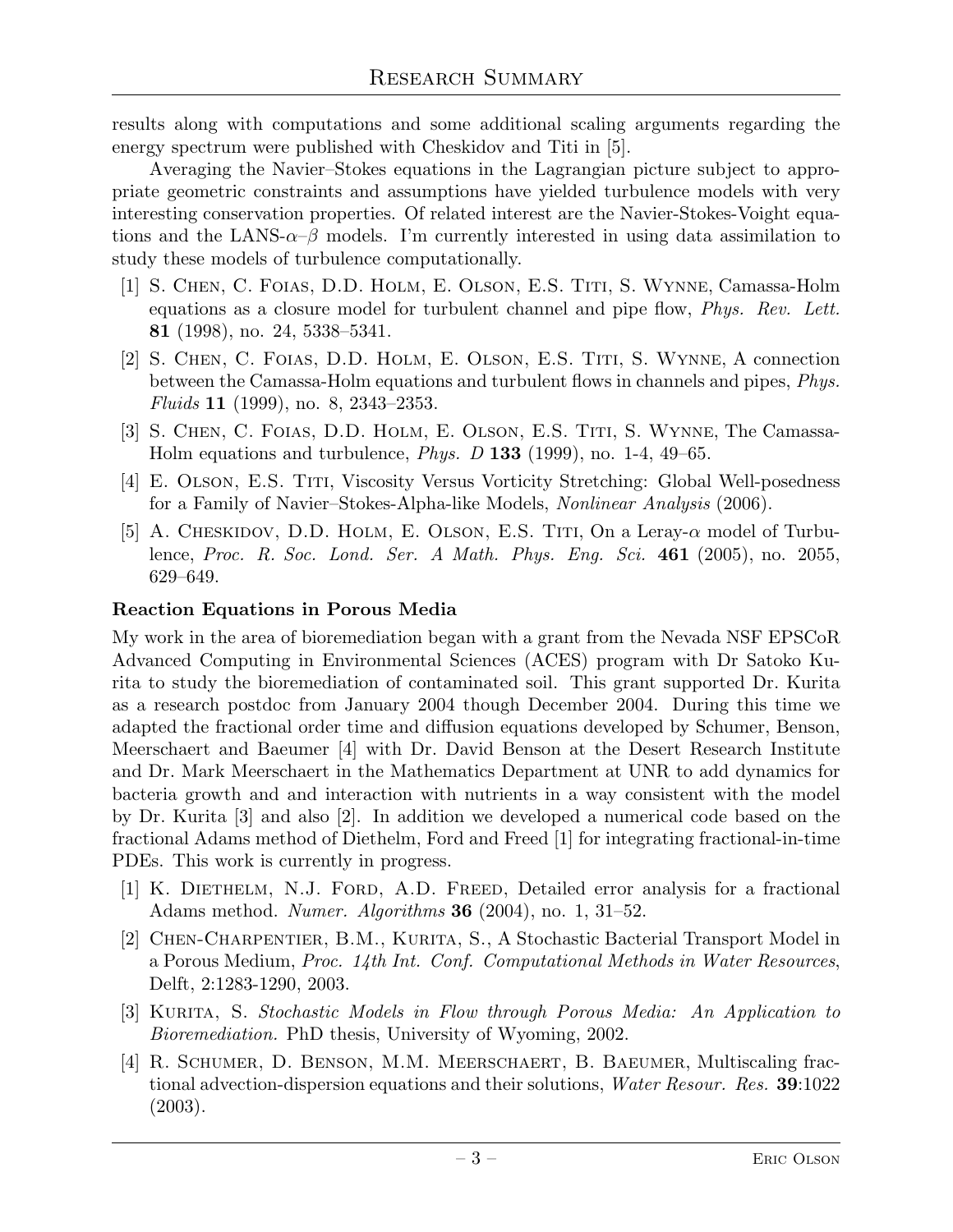results along with computations and some additional scaling arguments regarding the energy spectrum were published with Cheskidov and Titi in [5].

Averaging the Navier–Stokes equations in the Lagrangian picture subject to appropriate geometric constraints and assumptions have yielded turbulence models with very interesting conservation properties. Of related interest are the Navier-Stokes-Voight equations and the LANS- $\alpha-\beta$  models. I'm currently interested in using data assimilation to study these models of turbulence computationally.

- [1] S. Chen, C. Foias, D.D. Holm, E. Olson, E.S. Titi, S. Wynne, Camassa-Holm equations as a closure model for turbulent channel and pipe flow, *Phys. Rev. Lett.* 81 (1998), no. 24, 5338–5341.
- [2] S. CHEN, C. FOIAS, D.D. HOLM, E. OLSON, E.S. TITI, S. WYNNE, A connection between the Camassa-Holm equations and turbulent flows in channels and pipes, *Phys. Fluids* 11 (1999), no. 8, 2343–2353.
- [3] S. Chen, C. Foias, D.D. Holm, E. Olson, E.S. Titi, S. Wynne, The Camassa-Holm equations and turbulence, *Phys. D* 133 (1999), no. 1-4, 49–65.
- [4] E. Olson, E.S. Titi, Viscosity Versus Vorticity Stretching: Global Well-posedness for a Family of Navier–Stokes-Alpha-like Models, *Nonlinear Analysis* (2006).
- [5] A. CHESKIDOV, D.D. HOLM, E. OLSON, E.S. TITI, On a Leray- $\alpha$  model of Turbulence, *Proc. R. Soc. Lond. Ser. A Math. Phys. Eng. Sci.* 461 (2005), no. 2055, 629–649.

## Reaction Equations in Porous Media

My work in the area of bioremediation began with a grant from the Nevada NSF EPSCoR Advanced Computing in Environmental Sciences (ACES) program with Dr Satoko Kurita to study the bioremediation of contaminated soil. This grant supported Dr. Kurita as a research postdoc from January 2004 though December 2004. During this time we adapted the fractional order time and diffusion equations developed by Schumer, Benson, Meerschaert and Baeumer [4] with Dr. David Benson at the Desert Research Institute and Dr. Mark Meerschaert in the Mathematics Department at UNR to add dynamics for bacteria growth and and interaction with nutrients in a way consistent with the model by Dr. Kurita [3] and also [2]. In addition we developed a numerical code based on the fractional Adams method of Diethelm, Ford and Freed [1] for integrating fractional-in-time PDEs. This work is currently in progress.

- [1] K. Diethelm, N.J. Ford, A.D. Freed, Detailed error analysis for a fractional Adams method. *Numer. Algorithms* 36 (2004), no. 1, 31–52.
- [2] CHEN-CHARPENTIER, B.M., KURITA, S., A Stochastic Bacterial Transport Model in a Porous Medium, *Proc. 14th Int. Conf. Computational Methods in Water Resources*, Delft, 2:1283-1290, 2003.
- [3] Kurita, S. *Stochastic Models in Flow through Porous Media: An Application to Bioremediation.* PhD thesis, University of Wyoming, 2002.
- [4] R. Schumer, D. Benson, M.M. Meerschaert, B. Baeumer, Multiscaling fractional advection-dispersion equations and their solutions, *Water Resour. Res.* 39:1022 (2003).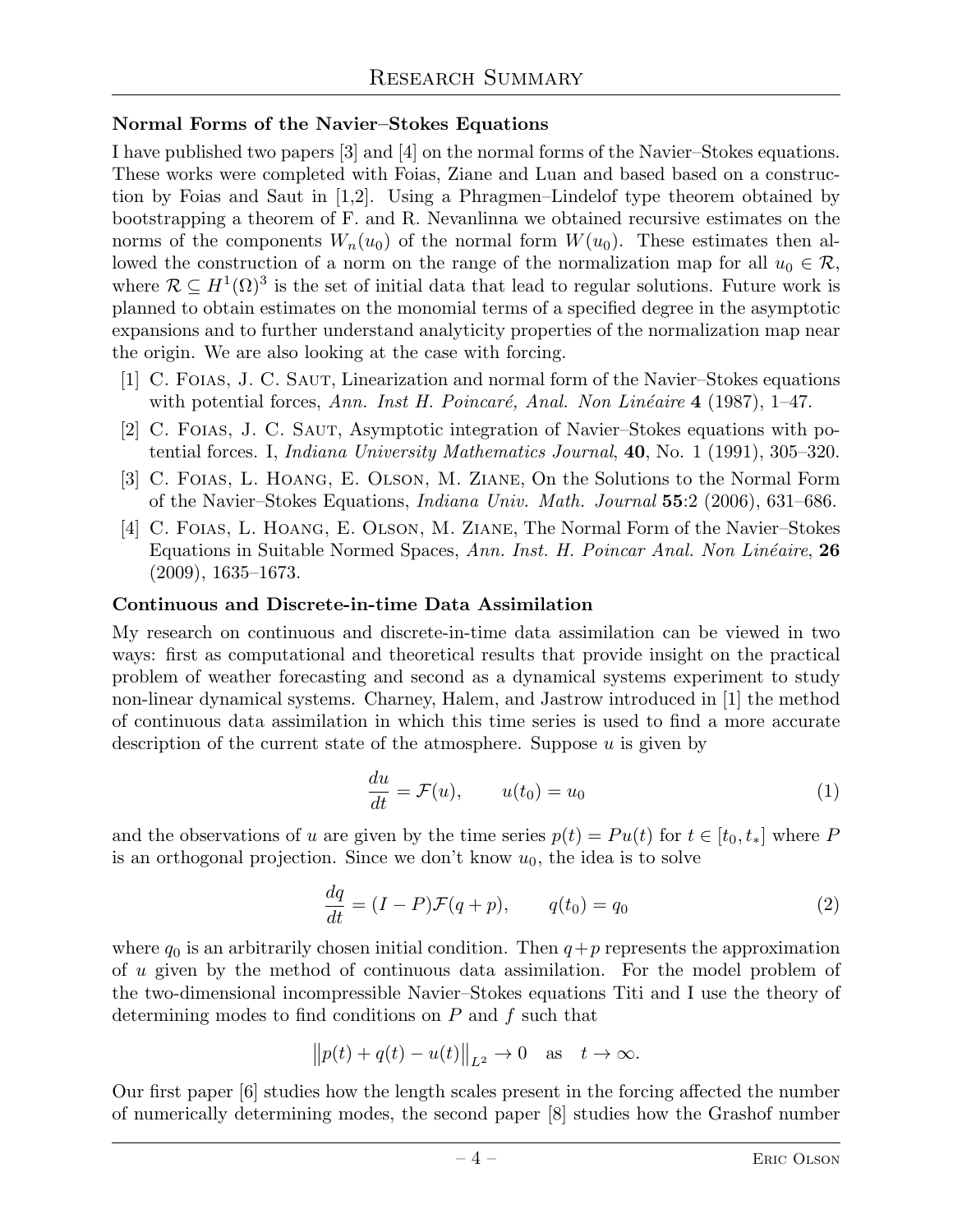## Normal Forms of the Navier–Stokes Equations

I have published two papers [3] and [4] on the normal forms of the Navier–Stokes equations. These works were completed with Foias, Ziane and Luan and based based on a construction by Foias and Saut in [1,2]. Using a Phragmen–Lindelof type theorem obtained by bootstrapping a theorem of F. and R. Nevanlinna we obtained recursive estimates on the norms of the components  $W_n(u_0)$  of the normal form  $W(u_0)$ . These estimates then allowed the construction of a norm on the range of the normalization map for all  $u_0 \in \mathcal{R}$ , where  $\mathcal{R} \subseteq H^1(\Omega)^3$  is the set of initial data that lead to regular solutions. Future work is planned to obtain estimates on the monomial terms of a specified degree in the asymptotic expansions and to further understand analyticity properties of the normalization map near the origin. We are also looking at the case with forcing.

- [1] C. Foias, J. C. Saut, Linearization and normal form of the Navier–Stokes equations with potential forces, *Ann. Inst H. Poincaré, Anal. Non Linéaire* 4 (1987), 1–47.
- [2] C. Foias, J. C. Saut, Asymptotic integration of Navier–Stokes equations with potential forces. I, *Indiana University Mathematics Journal*, 40, No. 1 (1991), 305–320.
- [3] C. Foias, L. Hoang, E. Olson, M. Ziane, On the Solutions to the Normal Form of the Navier–Stokes Equations, *Indiana Univ. Math. Journal* 55:2 (2006), 631–686.
- [4] C. Foias, L. Hoang, E. Olson, M. Ziane, The Normal Form of the Navier–Stokes Equations in Suitable Normed Spaces, *Ann. Inst. H. Poincar Anal. Non Linéaire*, 26 (2009), 1635–1673.

#### Continuous and Discrete-in-time Data Assimilation

My research on continuous and discrete-in-time data assimilation can be viewed in two ways: first as computational and theoretical results that provide insight on the practical problem of weather forecasting and second as a dynamical systems experiment to study non-linear dynamical systems. Charney, Halem, and Jastrow introduced in [1] the method of continuous data assimilation in which this time series is used to find a more accurate description of the current state of the atmosphere. Suppose u is given by

$$
\frac{du}{dt} = \mathcal{F}(u), \qquad u(t_0) = u_0 \tag{1}
$$

and the observations of u are given by the time series  $p(t) = Pu(t)$  for  $t \in [t_0, t_*]$  where P is an orthogonal projection. Since we don't know  $u_0$ , the idea is to solve

$$
\frac{dq}{dt} = (I - P)\mathcal{F}(q + p), \qquad q(t_0) = q_0 \tag{2}
$$

where  $q_0$  is an arbitrarily chosen initial condition. Then  $q+p$  represents the approximation of u given by the method of continuous data assimilation. For the model problem of the two-dimensional incompressible Navier–Stokes equations Titi and I use the theory of determining modes to find conditions on  $P$  and  $f$  such that

$$
\big\|p(t)+q(t)-u(t)\big\|_{L^2}\to 0\quad\text{as}\quad t\to\infty.
$$

Our first paper [6] studies how the length scales present in the forcing affected the number of numerically determining modes, the second paper [8] studies how the Grashof number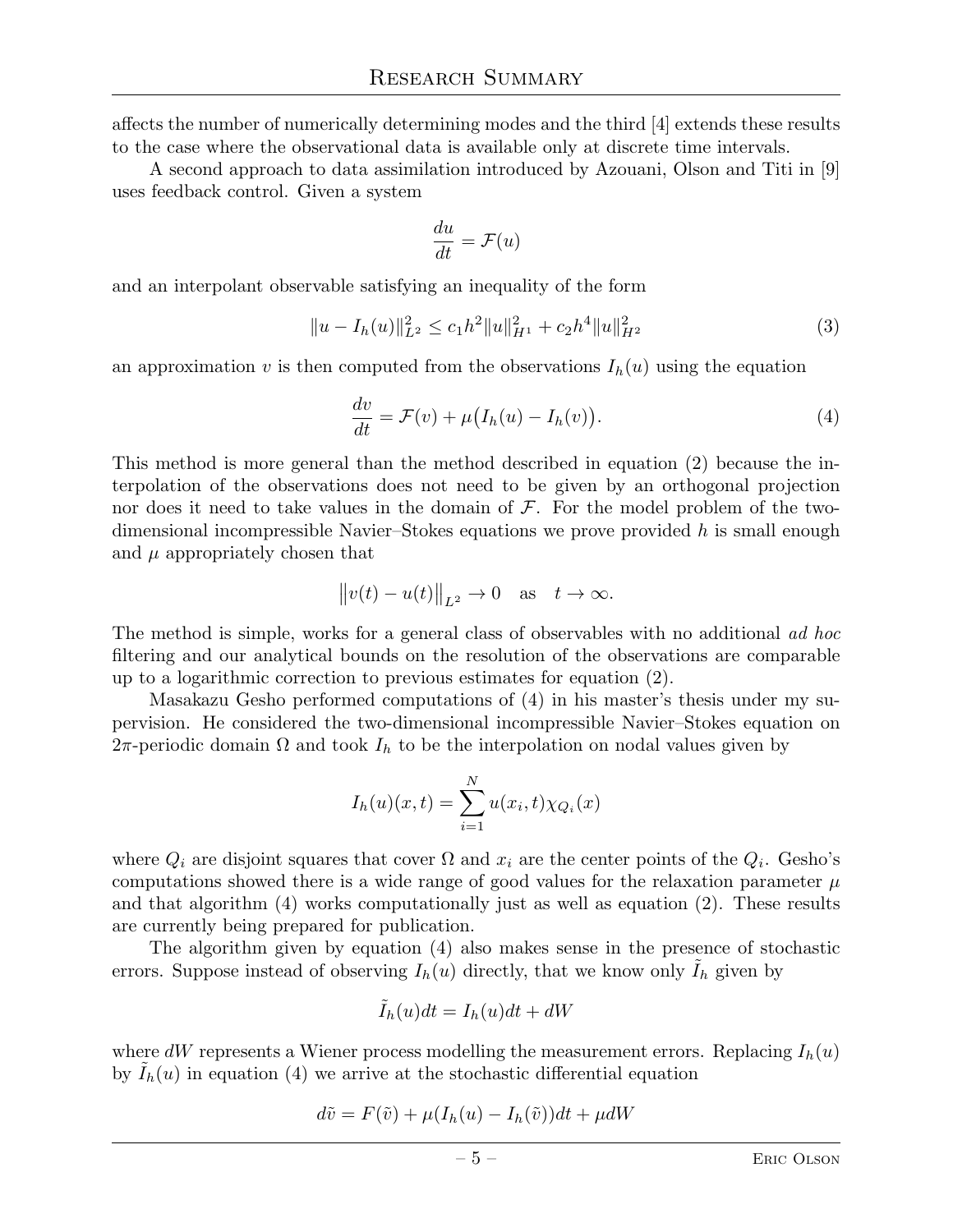affects the number of numerically determining modes and the third [4] extends these results to the case where the observational data is available only at discrete time intervals.

A second approach to data assimilation introduced by Azouani, Olson and Titi in [9] uses feedback control. Given a system

$$
\frac{du}{dt} = \mathcal{F}(u)
$$

and an interpolant observable satisfying an inequality of the form

$$
||u - I_h(u)||_{L^2}^2 \le c_1 h^2 ||u||_{H^1}^2 + c_2 h^4 ||u||_{H^2}^2
$$
\n(3)

an approximation v is then computed from the observations  $I_h(u)$  using the equation

$$
\frac{dv}{dt} = \mathcal{F}(v) + \mu \big( I_h(u) - I_h(v) \big). \tag{4}
$$

This method is more general than the method described in equation (2) because the interpolation of the observations does not need to be given by an orthogonal projection nor does it need to take values in the domain of  $\mathcal F$ . For the model problem of the twodimensional incompressible Navier–Stokes equations we prove provided  $h$  is small enough and  $\mu$  appropriately chosen that

$$
||v(t) - u(t)||_{L^2} \to 0
$$
 as  $t \to \infty$ .

The method is simple, works for a general class of observables with no additional *ad hoc* filtering and our analytical bounds on the resolution of the observations are comparable up to a logarithmic correction to previous estimates for equation (2).

Masakazu Gesho performed computations of (4) in his master's thesis under my supervision. He considered the two-dimensional incompressible Navier–Stokes equation on 2π-periodic domain  $\Omega$  and took  $I_h$  to be the interpolation on nodal values given by

$$
I_h(u)(x,t) = \sum_{i=1}^{N} u(x_i, t) \chi_{Q_i}(x)
$$

where  $Q_i$  are disjoint squares that cover  $\Omega$  and  $x_i$  are the center points of the  $Q_i$ . Gesho's computations showed there is a wide range of good values for the relaxation parameter  $\mu$ and that algorithm (4) works computationally just as well as equation (2). These results are currently being prepared for publication.

The algorithm given by equation (4) also makes sense in the presence of stochastic errors. Suppose instead of observing  $I_h(u)$  directly, that we know only  $I_h$  given by

$$
\tilde{I}_h(u)dt = I_h(u)dt + dW
$$

where dW represents a Wiener process modelling the measurement errors. Replacing  $I_h(u)$ by  $I_h(u)$  in equation (4) we arrive at the stochastic differential equation

$$
d\tilde{v} = F(\tilde{v}) + \mu(I_h(u) - I_h(\tilde{v}))dt + \mu dW
$$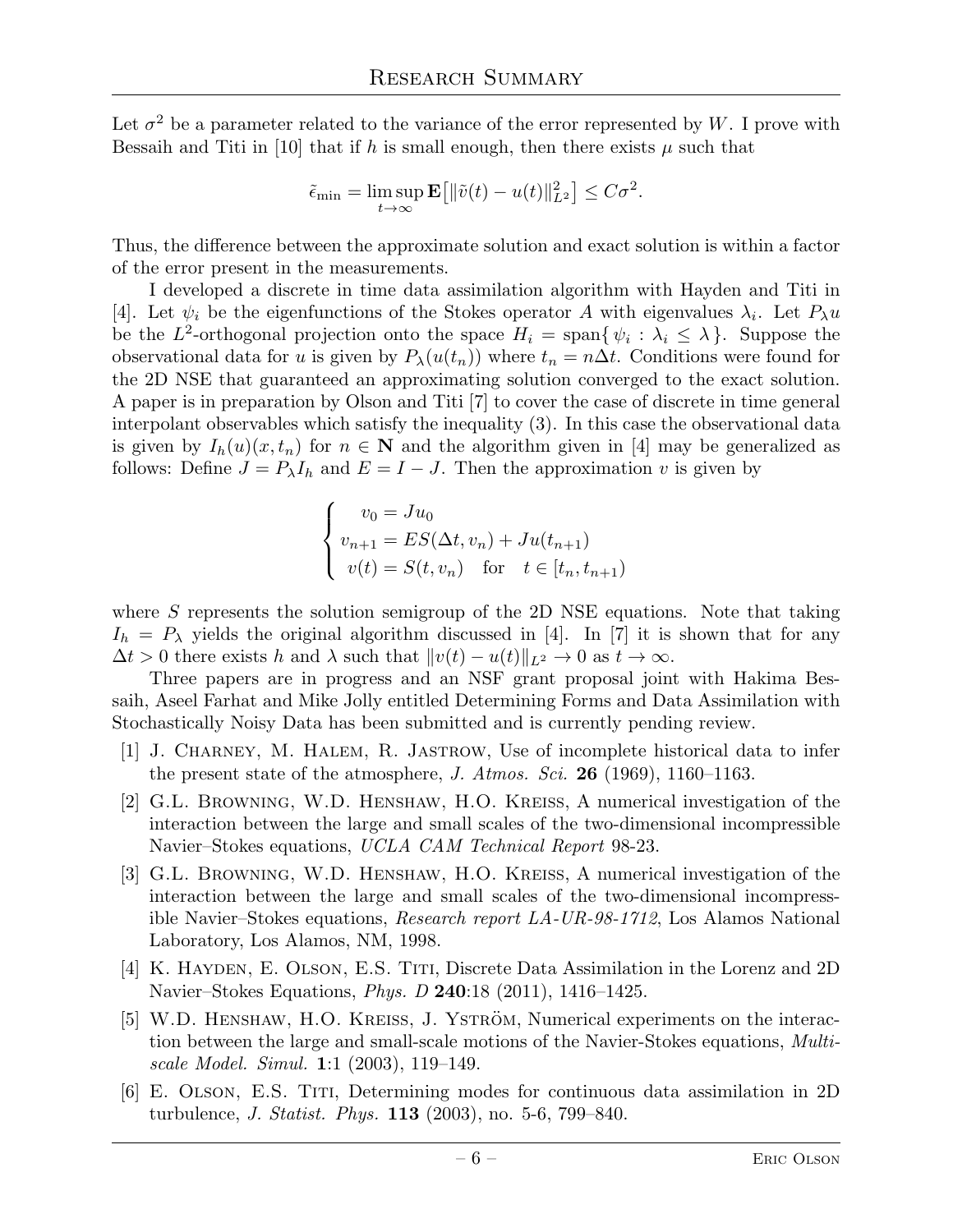Let  $\sigma^2$  be a parameter related to the variance of the error represented by W. I prove with Bessaih and Titi in [10] that if h is small enough, then there exists  $\mu$  such that

$$
\tilde{\epsilon}_{\min} = \limsup_{t \to \infty} \mathbf{E} \big[ \| \tilde{v}(t) - u(t) \|_{L^2}^2 \big] \leq C \sigma^2.
$$

Thus, the difference between the approximate solution and exact solution is within a factor of the error present in the measurements.

I developed a discrete in time data assimilation algorithm with Hayden and Titi in [4]. Let  $\psi_i$  be the eigenfunctions of the Stokes operator A with eigenvalues  $\lambda_i$ . Let  $P_{\lambda}u$ be the L<sup>2</sup>-orthogonal projection onto the space  $H_i = \text{span}\{\psi_i : \lambda_i \leq \lambda\}$ . Suppose the observational data for u is given by  $P_{\lambda}(u(t_n))$  where  $t_n = n\Delta t$ . Conditions were found for the 2D NSE that guaranteed an approximating solution converged to the exact solution. A paper is in preparation by Olson and Titi [7] to cover the case of discrete in time general interpolant observables which satisfy the inequality (3). In this case the observational data is given by  $I_h(u)(x, t_n)$  for  $n \in \mathbb{N}$  and the algorithm given in [4] may be generalized as follows: Define  $J = P_{\lambda}I_h$  and  $E = I - J$ . Then the approximation v is given by

$$
\begin{cases}\nv_0 = Ju_0 \\
v_{n+1} = ES(\Delta t, v_n) + Ju(t_{n+1}) \\
v(t) = S(t, v_n) \text{ for } t \in [t_n, t_{n+1})\n\end{cases}
$$

where S represents the solution semigroup of the 2D NSE equations. Note that taking  $I_h = P_\lambda$  yields the original algorithm discussed in [4]. In [7] it is shown that for any  $\Delta t > 0$  there exists h and  $\lambda$  such that  $||v(t) - u(t)||_{L^2} \to 0$  as  $t \to \infty$ .

Three papers are in progress and an NSF grant proposal joint with Hakima Bessaih, Aseel Farhat and Mike Jolly entitled Determining Forms and Data Assimilation with Stochastically Noisy Data has been submitted and is currently pending review.

- [1] J. Charney, M. Halem, R. Jastrow, Use of incomplete historical data to infer the present state of the atmosphere, *J. Atmos. Sci.* 26 (1969), 1160–1163.
- [2] G.L. Browning, W.D. Henshaw, H.O. Kreiss, A numerical investigation of the interaction between the large and small scales of the two-dimensional incompressible Navier–Stokes equations, *UCLA CAM Technical Report* 98-23.
- [3] G.L. Browning, W.D. Henshaw, H.O. Kreiss, A numerical investigation of the interaction between the large and small scales of the two-dimensional incompressible Navier–Stokes equations, *Research report LA-UR-98-1712*, Los Alamos National Laboratory, Los Alamos, NM, 1998.
- [4] K. Hayden, E. Olson, E.S. Titi, Discrete Data Assimilation in the Lorenz and 2D Navier–Stokes Equations, *Phys. D* 240:18 (2011), 1416–1425.
- [5] W.D. HENSHAW, H.O. KREISS, J. YSTRÖM, Numerical experiments on the interaction between the large and small-scale motions of the Navier-Stokes equations, *Multiscale Model. Simul.* 1:1 (2003), 119–149.
- [6] E. Olson, E.S. Titi, Determining modes for continuous data assimilation in 2D turbulence, *J. Statist. Phys.* 113 (2003), no. 5-6, 799–840.